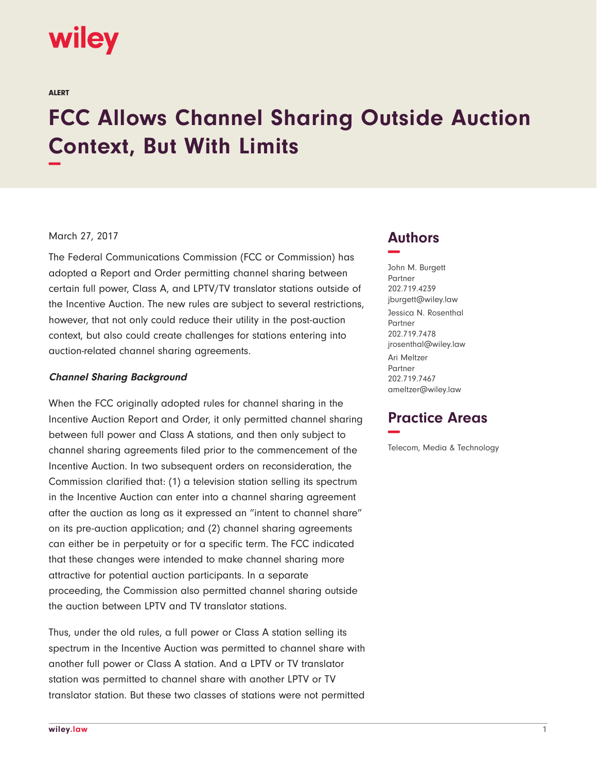# wiley

ALERT

# **FCC Allows Channel Sharing Outside Auction Context, But With Limits −**

## March 27, 2017

The Federal Communications Commission (FCC or Commission) has adopted a Report and Order permitting channel sharing between certain full power, Class A, and LPTV/TV translator stations outside of the Incentive Auction. The new rules are subject to several restrictions, however, that not only could reduce their utility in the post-auction context, but also could create challenges for stations entering into auction-related channel sharing agreements.

#### **Channel Sharing Background**

When the FCC originally adopted rules for channel sharing in the Incentive Auction Report and Order, it only permitted channel sharing between full power and Class A stations, and then only subject to channel sharing agreements filed prior to the commencement of the Incentive Auction. In two subsequent orders on reconsideration, the Commission clarified that: (1) a television station selling its spectrum in the Incentive Auction can enter into a channel sharing agreement after the auction as long as it expressed an "intent to channel share" on its pre-auction application; and (2) channel sharing agreements can either be in perpetuity or for a specific term. The FCC indicated that these changes were intended to make channel sharing more attractive for potential auction participants. In a separate proceeding, the Commission also permitted channel sharing outside the auction between LPTV and TV translator stations.

Thus, under the old rules, a full power or Class A station selling its spectrum in the Incentive Auction was permitted to channel share with another full power or Class A station. And a LPTV or TV translator station was permitted to channel share with another LPTV or TV translator station. But these two classes of stations were not permitted

# **Authors −**

John M. Burgett Partner 202.719.4239 jburgett@wiley.law Jessica N. Rosenthal Partner 202.719.7478 jrosenthal@wiley.law Ari Meltzer Partner 202.719.7467 ameltzer@wiley.law

# **Practice Areas −**

Telecom, Media & Technology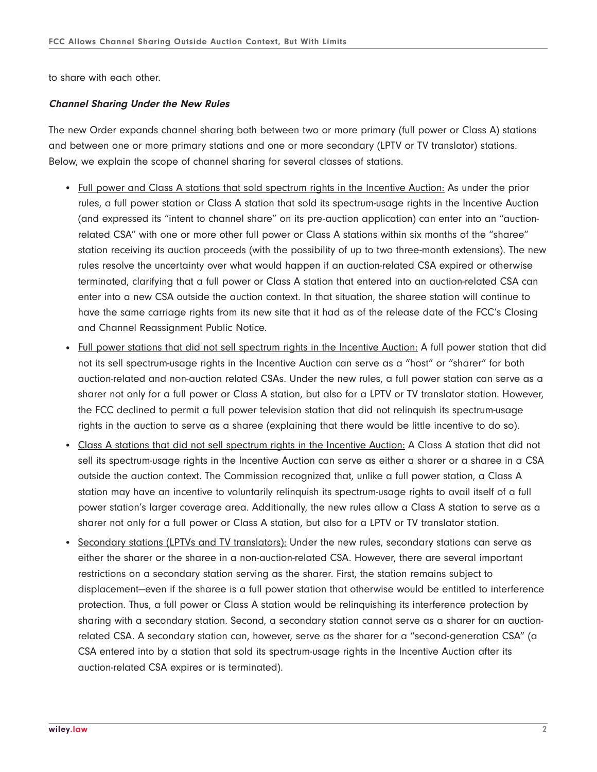to share with each other.

#### **Channel Sharing Under the New Rules**

The new Order expands channel sharing both between two or more primary (full power or Class A) stations and between one or more primary stations and one or more secondary (LPTV or TV translator) stations. Below, we explain the scope of channel sharing for several classes of stations.

- Full power and Class A stations that sold spectrum rights in the Incentive Auction: As under the prior rules, a full power station or Class A station that sold its spectrum-usage rights in the Incentive Auction (and expressed its "intent to channel share" on its pre-auction application) can enter into an "auctionrelated CSA" with one or more other full power or Class A stations within six months of the "sharee" station receiving its auction proceeds (with the possibility of up to two three-month extensions). The new rules resolve the uncertainty over what would happen if an auction-related CSA expired or otherwise terminated, clarifying that a full power or Class A station that entered into an auction-related CSA can enter into a new CSA outside the auction context. In that situation, the sharee station will continue to have the same carriage rights from its new site that it had as of the release date of the FCC's Closing and Channel Reassignment Public Notice.
- Full power stations that did not sell spectrum rights in the Incentive Auction: A full power station that did not its sell spectrum-usage rights in the Incentive Auction can serve as a "host" or "sharer" for both auction-related and non-auction related CSAs. Under the new rules, a full power station can serve as a sharer not only for a full power or Class A station, but also for a LPTV or TV translator station. However, the FCC declined to permit a full power television station that did not relinquish its spectrum-usage rights in the auction to serve as a sharee (explaining that there would be little incentive to do so).
- Class A stations that did not sell spectrum rights in the Incentive Auction: A Class A station that did not sell its spectrum-usage rights in the Incentive Auction can serve as either a sharer or a sharee in a CSA outside the auction context. The Commission recognized that, unlike a full power station, a Class A station may have an incentive to voluntarily relinquish its spectrum-usage rights to avail itself of a full power station's larger coverage area. Additionally, the new rules allow a Class A station to serve as a sharer not only for a full power or Class A station, but also for a LPTV or TV translator station.
- Secondary stations (LPTVs and TV translators): Under the new rules, secondary stations can serve as either the sharer or the sharee in a non-auction-related CSA. However, there are several important restrictions on a secondary station serving as the sharer. First, the station remains subject to displacement—even if the sharee is a full power station that otherwise would be entitled to interference protection. Thus, a full power or Class A station would be relinquishing its interference protection by sharing with a secondary station. Second, a secondary station cannot serve as a sharer for an auctionrelated CSA. A secondary station can, however, serve as the sharer for a "second-generation CSA" (a CSA entered into by a station that sold its spectrum-usage rights in the Incentive Auction after its auction-related CSA expires or is terminated).